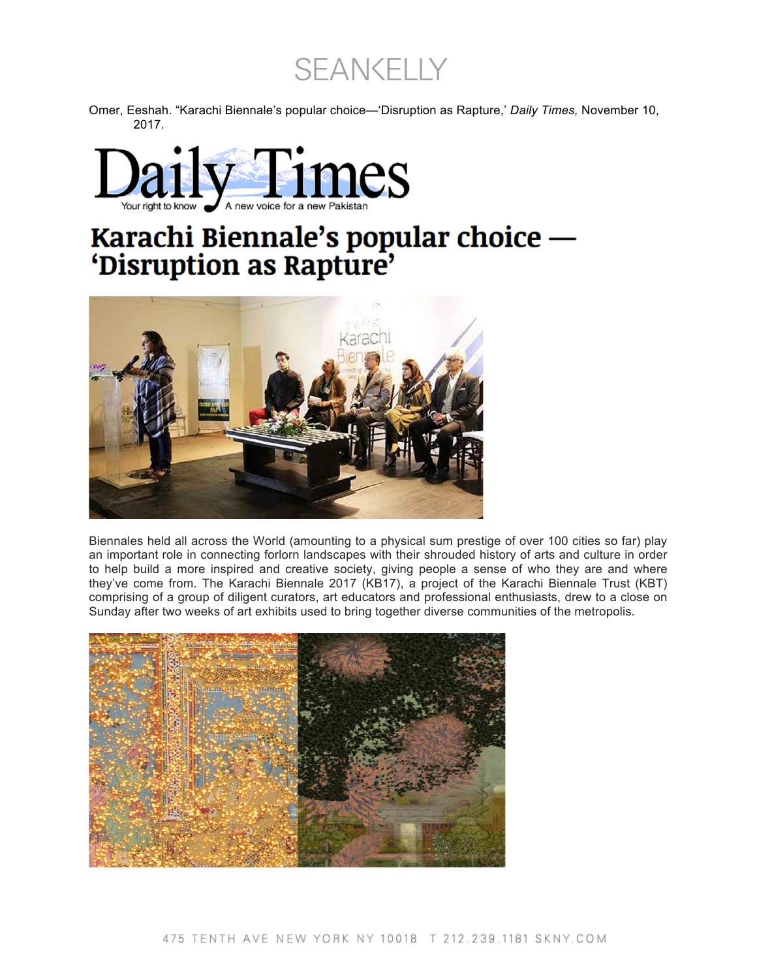SEANKELLY

Omer, Eeshah. "Karachi Biennale's popular choice—'Disruption as Rapture,' *Daily Times,* November 10, 2017.



## Karachi Biennale's popular choice —<br>'Disruption as Rapture'



Biennales held all across the World (amounting to a physical sum prestige of over 100 cities so far) play an important role in connecting forlorn landscapes with their shrouded history of arts and culture in order to help build a more inspired and creative society, giving people a sense of who they are and where they've come from. The Karachi Biennale 2017 (KB17), a project of the Karachi Biennale Trust (KBT) comprising of a group of diligent curators, art educators and professional enthusiasts, drew to a close on Sunday after two weeks of art exhibits used to bring together diverse communities of the metropolis.

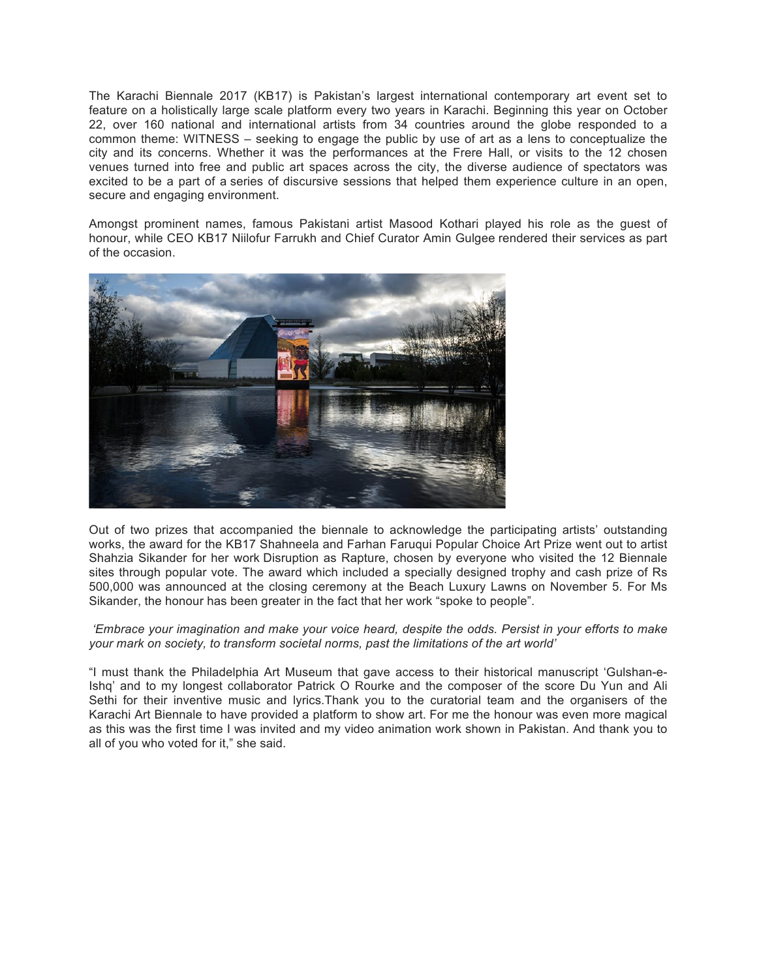The Karachi Biennale 2017 (KB17) is Pakistan's largest international contemporary art event set to feature on a holistically large scale platform every two years in Karachi. Beginning this year on October 22, over 160 national and international artists from 34 countries around the globe responded to a common theme: WITNESS – seeking to engage the public by use of art as a lens to conceptualize the city and its concerns. Whether it was the performances at the Frere Hall, or visits to the 12 chosen venues turned into free and public art spaces across the city, the diverse audience of spectators was excited to be a part of a series of discursive sessions that helped them experience culture in an open, secure and engaging environment.

Amongst prominent names, famous Pakistani artist Masood Kothari played his role as the guest of honour, while CEO KB17 Niilofur Farrukh and Chief Curator Amin Gulgee rendered their services as part of the occasion.



Out of two prizes that accompanied the biennale to acknowledge the participating artists' outstanding works, the award for the KB17 Shahneela and Farhan Faruqui Popular Choice Art Prize went out to artist Shahzia Sikander for her work Disruption as Rapture, chosen by everyone who visited the 12 Biennale sites through popular vote. The award which included a specially designed trophy and cash prize of Rs 500,000 was announced at the closing ceremony at the Beach Luxury Lawns on November 5. For Ms Sikander, the honour has been greater in the fact that her work "spoke to people".

*'Embrace your imagination and make your voice heard, despite the odds. Persist in your efforts to make your mark on society, to transform societal norms, past the limitations of the art world'*

"I must thank the Philadelphia Art Museum that gave access to their historical manuscript 'Gulshan-e-Ishq' and to my longest collaborator Patrick O Rourke and the composer of the score Du Yun and Ali Sethi for their inventive music and lyrics.Thank you to the curatorial team and the organisers of the Karachi Art Biennale to have provided a platform to show art. For me the honour was even more magical as this was the first time I was invited and my video animation work shown in Pakistan. And thank you to all of you who voted for it," she said.